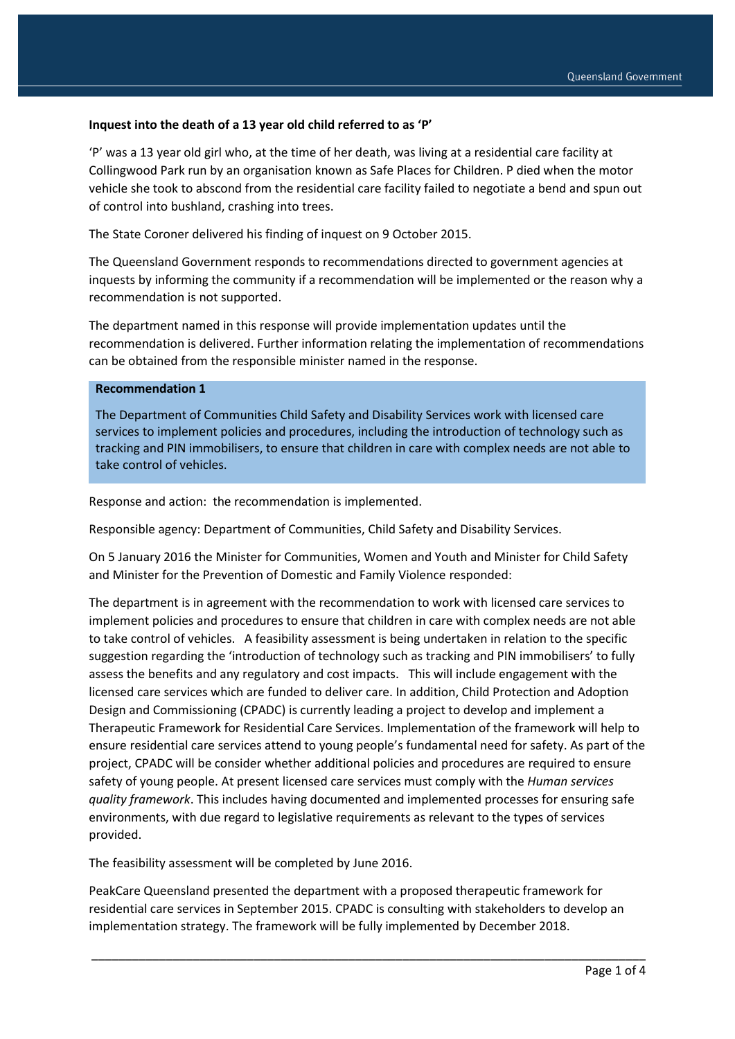#### **Inquest into the death of a 13 year old child referred to as 'P'**

'P' was a 13 year old girl who, at the time of her death, was living at a residential care facility at Collingwood Park run by an organisation known as Safe Places for Children. P died when the motor vehicle she took to abscond from the residential care facility failed to negotiate a bend and spun out of control into bushland, crashing into trees.

The State Coroner delivered his finding of inquest on 9 October 2015.

The Queensland Government responds to recommendations directed to government agencies at inquests by informing the community if a recommendation will be implemented or the reason why a recommendation is not supported.

The department named in this response will provide implementation updates until the recommendation is delivered. Further information relating the implementation of recommendations can be obtained from the responsible minister named in the response.

#### **Recommendation 1**

The Department of Communities Child Safety and Disability Services work with licensed care services to implement policies and procedures, including the introduction of technology such as tracking and PIN immobilisers, to ensure that children in care with complex needs are not able to take control of vehicles.

Response and action: the recommendation is implemented.

Responsible agency: Department of Communities, Child Safety and Disability Services.

On 5 January 2016 the Minister for Communities, Women and Youth and Minister for Child Safety and Minister for the Prevention of Domestic and Family Violence responded:

The department is in agreement with the recommendation to work with licensed care services to implement policies and procedures to ensure that children in care with complex needs are not able to take control of vehicles. A feasibility assessment is being undertaken in relation to the specific suggestion regarding the 'introduction of technology such as tracking and PIN immobilisers' to fully assess the benefits and any regulatory and cost impacts. This will include engagement with the licensed care services which are funded to deliver care. In addition, Child Protection and Adoption Design and Commissioning (CPADC) is currently leading a project to develop and implement a Therapeutic Framework for Residential Care Services. Implementation of the framework will help to ensure residential care services attend to young people's fundamental need for safety. As part of the project, CPADC will be consider whether additional policies and procedures are required to ensure safety of young people. At present licensed care services must comply with the *Human services quality framework*. This includes having documented and implemented processes for ensuring safe environments, with due regard to legislative requirements as relevant to the types of services provided.

The feasibility assessment will be completed by June 2016.

PeakCare Queensland presented the department with a proposed therapeutic framework for residential care services in September 2015. CPADC is consulting with stakeholders to develop an implementation strategy. The framework will be fully implemented by December 2018.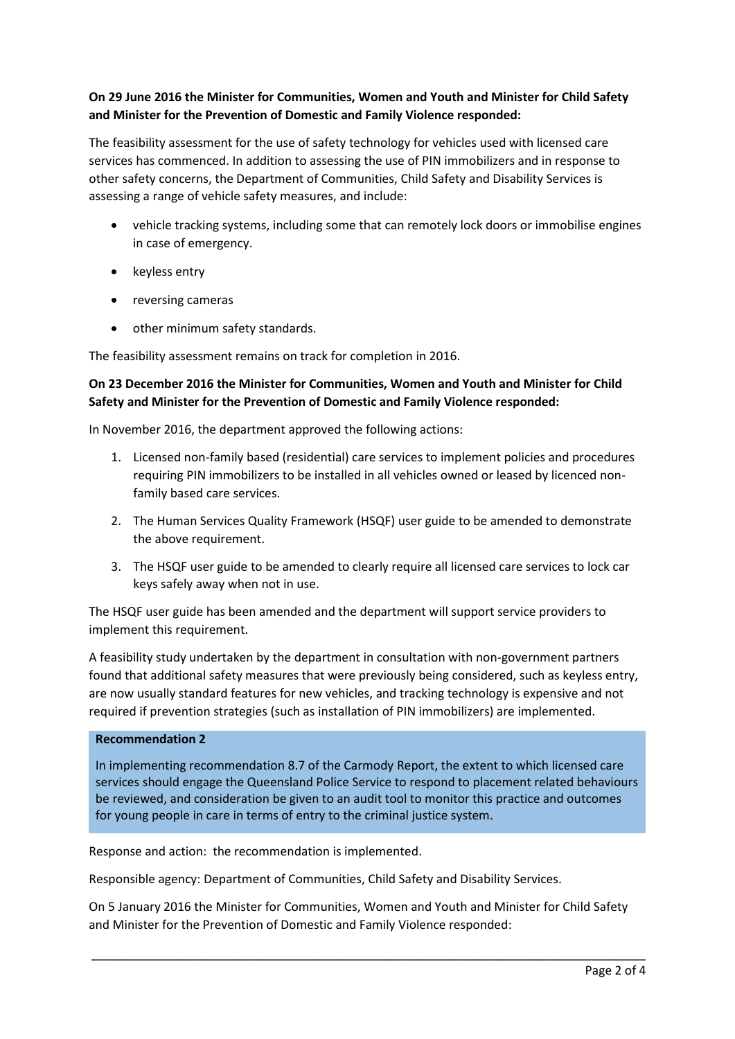### **On 29 June 2016 the Minister for Communities, Women and Youth and Minister for Child Safety and Minister for the Prevention of Domestic and Family Violence responded:**

The feasibility assessment for the use of safety technology for vehicles used with licensed care services has commenced. In addition to assessing the use of PIN immobilizers and in response to other safety concerns, the Department of Communities, Child Safety and Disability Services is assessing a range of vehicle safety measures, and include:

- vehicle tracking systems, including some that can remotely lock doors or immobilise engines in case of emergency.
- keyless entry
- reversing cameras
- other minimum safety standards.

The feasibility assessment remains on track for completion in 2016.

### **On 23 December 2016 the Minister for Communities, Women and Youth and Minister for Child Safety and Minister for the Prevention of Domestic and Family Violence responded:**

In November 2016, the department approved the following actions:

- 1. Licensed non-family based (residential) care services to implement policies and procedures requiring PIN immobilizers to be installed in all vehicles owned or leased by licenced nonfamily based care services.
- 2. The Human Services Quality Framework (HSQF) user guide to be amended to demonstrate the above requirement.
- 3. The HSQF user guide to be amended to clearly require all licensed care services to lock car keys safely away when not in use.

The HSQF user guide has been amended and the department will support service providers to implement this requirement.

A feasibility study undertaken by the department in consultation with non-government partners found that additional safety measures that were previously being considered, such as keyless entry, are now usually standard features for new vehicles, and tracking technology is expensive and not required if prevention strategies (such as installation of PIN immobilizers) are implemented.

#### **Recommendation 2**

In implementing recommendation 8.7 of the Carmody Report, the extent to which licensed care services should engage the Queensland Police Service to respond to placement related behaviours be reviewed, and consideration be given to an audit tool to monitor this practice and outcomes for young people in care in terms of entry to the criminal justice system.

Response and action: the recommendation is implemented.

Responsible agency: Department of Communities, Child Safety and Disability Services.

On 5 January 2016 the Minister for Communities, Women and Youth and Minister for Child Safety and Minister for the Prevention of Domestic and Family Violence responded: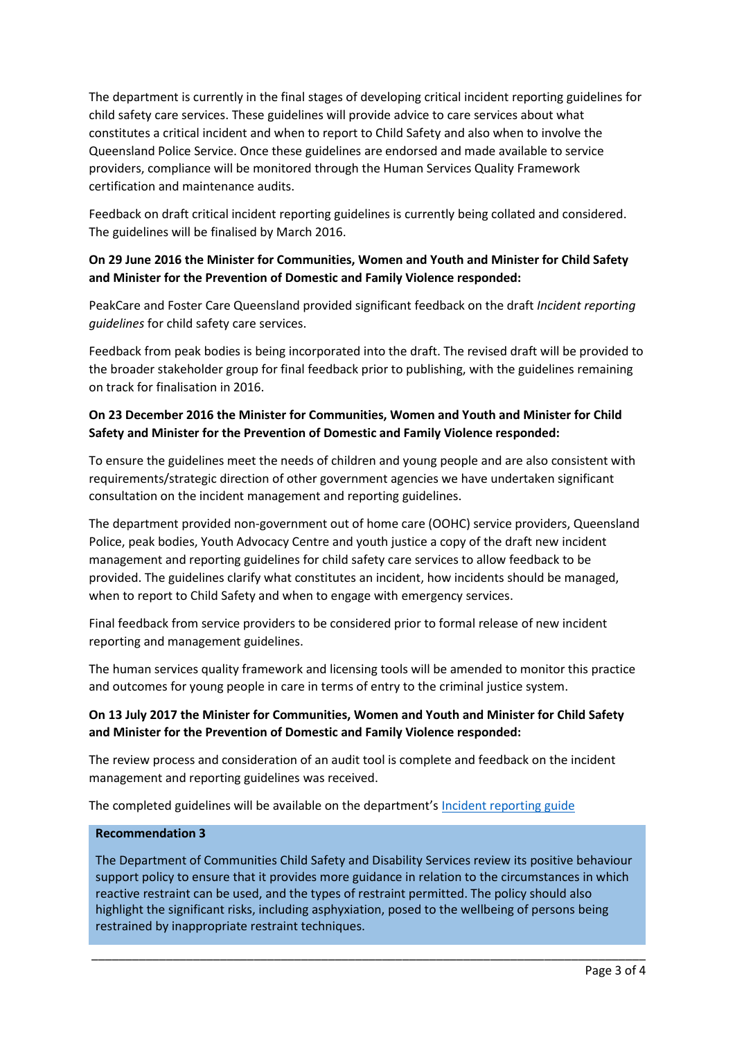The department is currently in the final stages of developing critical incident reporting guidelines for child safety care services. These guidelines will provide advice to care services about what constitutes a critical incident and when to report to Child Safety and also when to involve the Queensland Police Service. Once these guidelines are endorsed and made available to service providers, compliance will be monitored through the Human Services Quality Framework certification and maintenance audits.

Feedback on draft critical incident reporting guidelines is currently being collated and considered. The guidelines will be finalised by March 2016.

### **On 29 June 2016 the Minister for Communities, Women and Youth and Minister for Child Safety and Minister for the Prevention of Domestic and Family Violence responded:**

PeakCare and Foster Care Queensland provided significant feedback on the draft *Incident reporting guidelines* for child safety care services.

Feedback from peak bodies is being incorporated into the draft. The revised draft will be provided to the broader stakeholder group for final feedback prior to publishing, with the guidelines remaining on track for finalisation in 2016.

### **On 23 December 2016 the Minister for Communities, Women and Youth and Minister for Child Safety and Minister for the Prevention of Domestic and Family Violence responded:**

To ensure the guidelines meet the needs of children and young people and are also consistent with requirements/strategic direction of other government agencies we have undertaken significant consultation on the incident management and reporting guidelines.

The department provided non-government out of home care (OOHC) service providers, Queensland Police, peak bodies, Youth Advocacy Centre and youth justice a copy of the draft new incident management and reporting guidelines for child safety care services to allow feedback to be provided. The guidelines clarify what constitutes an incident, how incidents should be managed, when to report to Child Safety and when to engage with emergency services.

Final feedback from service providers to be considered prior to formal release of new incident reporting and management guidelines.

The human services quality framework and licensing tools will be amended to monitor this practice and outcomes for young people in care in terms of entry to the criminal justice system.

# **On 13 July 2017 the Minister for Communities, Women and Youth and Minister for Child Safety and Minister for the Prevention of Domestic and Family Violence responded:**

The review process and consideration of an audit tool is complete and feedback on the incident management and reporting guidelines was received.

The completed guidelines will be available on the department's [Incident reporting guide](https://www.communities.qld.gov.au/childsafety/partners/resources-publications)

#### **Recommendation 3**

The Department of Communities Child Safety and Disability Services review its positive behaviour support policy to ensure that it provides more guidance in relation to the circumstances in which reactive restraint can be used, and the types of restraint permitted. The policy should also highlight the significant risks, including asphyxiation, posed to the wellbeing of persons being restrained by inappropriate restraint techniques.